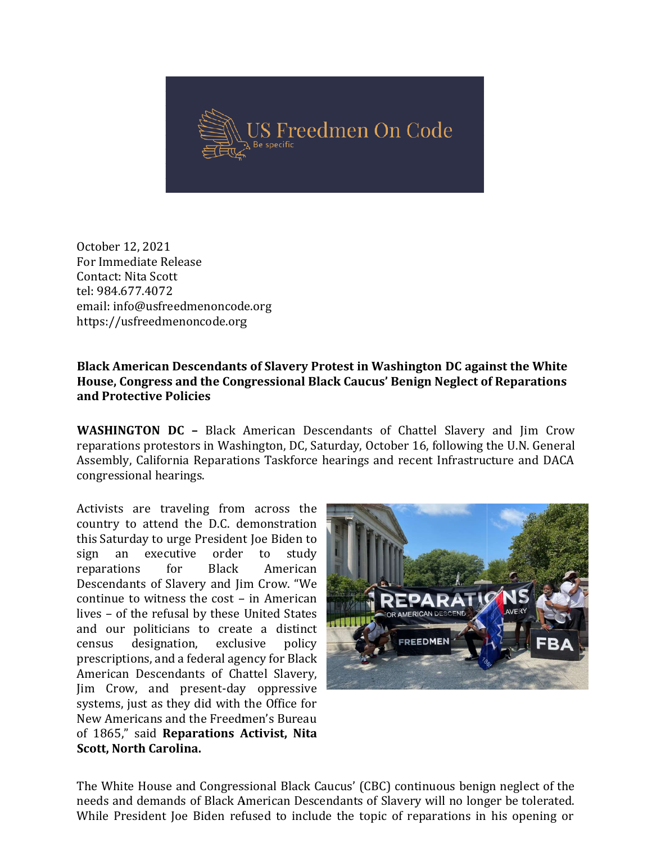

October 12, 2021 For Immediate Release Contact: Nita Scott tel: 984.677.4072 email: info@usfreedmenoncode.org https://usfreedmenoncode.org

## Black American Descendants of Slavery Protest in Washington DC against the White House, Congress and the Congressional Black Caucus' Benign Neglect of Reparations Reparationsand Protective Policies

WASHINGTON DC - Black American Descendants of Chattel Slavery and Jim Crow reparations protestors in Washington, DC, Saturday, October 16, following the U.N. General Assembly, California Reparations Taskforce hearings and recent Infrastructure and DACA<br>congressional hearings.<br>Activists are traveling from across the congressional hearings.

Activists are traveling from across the country to attend the D.C. demonstration this Saturday to urge President Joe Biden to<br>sign an executive order to study<br>reparations for Black American sign an executive order to study reparations for Black Descendants of Slavery and Jim Crow Crow. "We continue to witness the cost - in American lives – of the refusal by these United States and our politicians to create a distinct census designation, exclusive policy prescriptions, and a federal agency for Black American Descendants of Chattel Slavery, Jim Crow, and present-day oppressive<br>systems, just as they did with the Office for<br>New Americans and the Freedmen's Bureau systems, just as they did with the Office for New Americans and the Freedmen's Bureau of 1865," said Reparations Activist, Nita Scott, North Carolina.



The White House and Congressional Black Caucus' (CBC) continuous benign neglect of the needs and demands of Black American Descendants of Slavery will no longer be tolerated. While President Joe Biden refused to include the topic of reparations in his opening or The White House and Congressional Black Caucus' (CBC) continuous benign neglect of the<br>needs and demands of Black American Descendants of Slavery will no longer be tolerated.<br>While President Joe Biden refused to include th